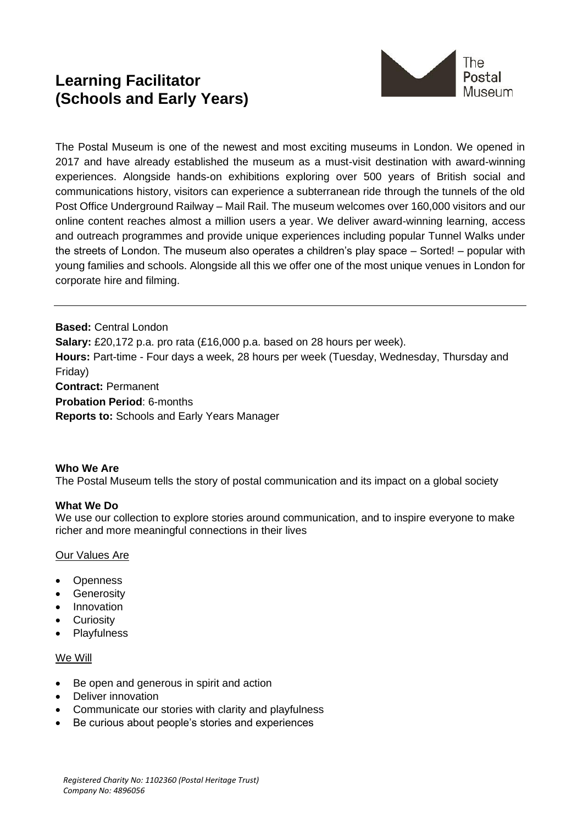# **Learning Facilitator (Schools and Early Years)**



The Postal Museum is one of the newest and most exciting museums in London. We opened in 2017 and have already established the museum as a must-visit destination with award-winning experiences. Alongside hands-on exhibitions exploring over 500 years of British social and communications history, visitors can experience a subterranean ride through the tunnels of the old Post Office Underground Railway – Mail Rail. The museum welcomes over 160,000 visitors and our online content reaches almost a million users a year. We deliver award-winning learning, access and outreach programmes and provide unique experiences including popular Tunnel Walks under the streets of London. The museum also operates a children's play space – Sorted! – popular with young families and schools. Alongside all this we offer one of the most unique venues in London for corporate hire and filming.

**Based:** Central London **Salary:** £20,172 p.a. pro rata (£16,000 p.a. based on 28 hours per week). **Hours:** Part-time - Four days a week, 28 hours per week (Tuesday, Wednesday, Thursday and Friday) **Contract:** Permanent **Probation Period**: 6-months **Reports to:** Schools and Early Years Manager

### **Who We Are**

The Postal Museum tells the story of postal communication and its impact on a global society

### **What We Do**

We use our collection to explore stories around communication, and to inspire everyone to make richer and more meaningful connections in their lives

### Our Values Are

- Openness
- Generosity
- Innovation
- Curiosity
- Playfulness

### We Will

- Be open and generous in spirit and action
- Deliver innovation
- Communicate our stories with clarity and playfulness
- Be curious about people's stories and experiences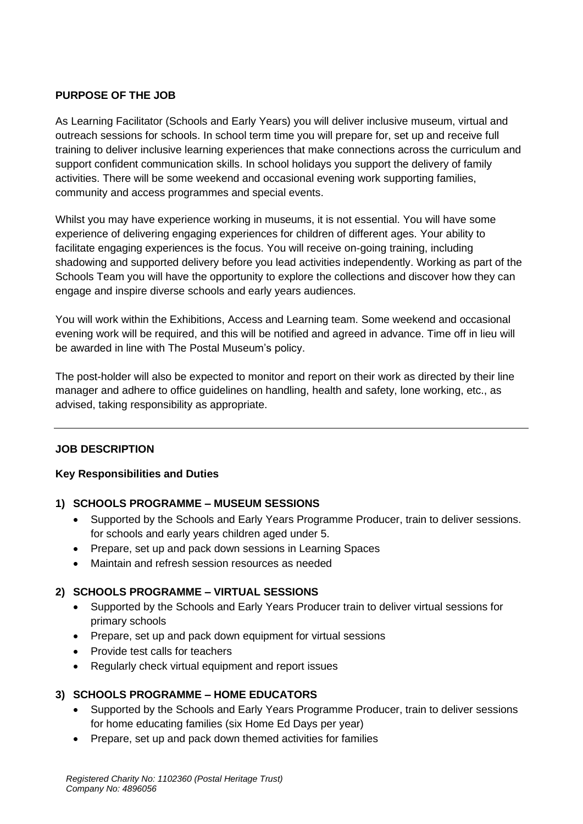# **PURPOSE OF THE JOB**

As Learning Facilitator (Schools and Early Years) you will deliver inclusive museum, virtual and outreach sessions for schools. In school term time you will prepare for, set up and receive full training to deliver inclusive learning experiences that make connections across the curriculum and support confident communication skills. In school holidays you support the delivery of family activities. There will be some weekend and occasional evening work supporting families, community and access programmes and special events.

Whilst you may have experience working in museums, it is not essential. You will have some experience of delivering engaging experiences for children of different ages. Your ability to facilitate engaging experiences is the focus. You will receive on-going training, including shadowing and supported delivery before you lead activities independently. Working as part of the Schools Team you will have the opportunity to explore the collections and discover how they can engage and inspire diverse schools and early years audiences.

You will work within the Exhibitions, Access and Learning team. Some weekend and occasional evening work will be required, and this will be notified and agreed in advance. Time off in lieu will be awarded in line with The Postal Museum's policy.

The post-holder will also be expected to monitor and report on their work as directed by their line manager and adhere to office guidelines on handling, health and safety, lone working, etc., as advised, taking responsibility as appropriate.

# **JOB DESCRIPTION**

### **Key Responsibilities and Duties**

### **1) SCHOOLS PROGRAMME – MUSEUM SESSIONS**

- Supported by the Schools and Early Years Programme Producer, train to deliver sessions. for schools and early years children aged under 5.
- Prepare, set up and pack down sessions in Learning Spaces
- Maintain and refresh session resources as needed

# **2) SCHOOLS PROGRAMME – VIRTUAL SESSIONS**

- Supported by the Schools and Early Years Producer train to deliver virtual sessions for primary schools
- Prepare, set up and pack down equipment for virtual sessions
- Provide test calls for teachers
- Regularly check virtual equipment and report issues

# **3) SCHOOLS PROGRAMME – HOME EDUCATORS**

- Supported by the Schools and Early Years Programme Producer, train to deliver sessions for home educating families (six Home Ed Days per year)
- Prepare, set up and pack down themed activities for families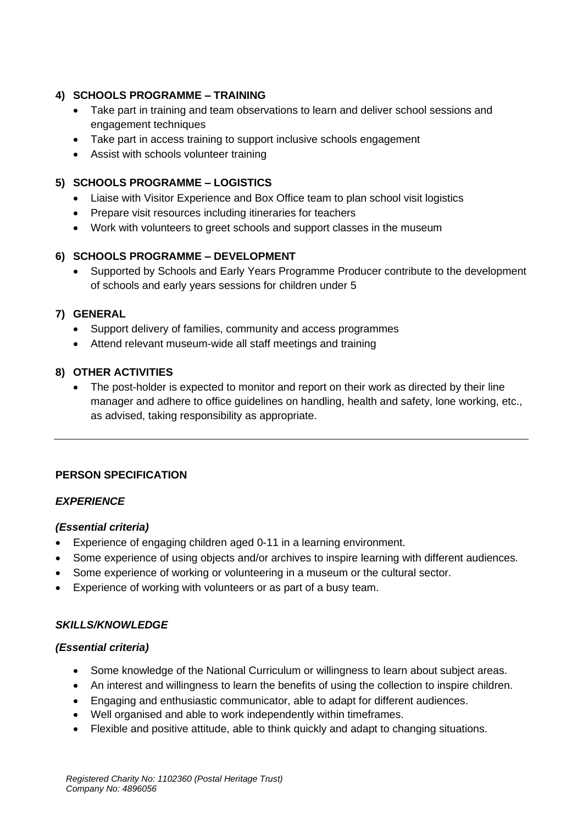# **4) SCHOOLS PROGRAMME – TRAINING**

- Take part in training and team observations to learn and deliver school sessions and engagement techniques
- Take part in access training to support inclusive schools engagement
- Assist with schools volunteer training

# **5) SCHOOLS PROGRAMME – LOGISTICS**

- Liaise with Visitor Experience and Box Office team to plan school visit logistics
- Prepare visit resources including itineraries for teachers
- Work with volunteers to greet schools and support classes in the museum

# **6) SCHOOLS PROGRAMME – DEVELOPMENT**

• Supported by Schools and Early Years Programme Producer contribute to the development of schools and early years sessions for children under 5

# **7) GENERAL**

- Support delivery of families, community and access programmes
- Attend relevant museum-wide all staff meetings and training

# **8) OTHER ACTIVITIES**

• The post-holder is expected to monitor and report on their work as directed by their line manager and adhere to office guidelines on handling, health and safety, lone working, etc., as advised, taking responsibility as appropriate.

# **PERSON SPECIFICATION**

# *EXPERIENCE*

# *(Essential criteria)*

- Experience of engaging children aged 0-11 in a learning environment.
- Some experience of using objects and/or archives to inspire learning with different audiences.
- Some experience of working or volunteering in a museum or the cultural sector.
- Experience of working with volunteers or as part of a busy team.

# *SKILLS/KNOWLEDGE*

# *(Essential criteria)*

- Some knowledge of the National Curriculum or willingness to learn about subject areas.
- An interest and willingness to learn the benefits of using the collection to inspire children.
- Engaging and enthusiastic communicator, able to adapt for different audiences.
- Well organised and able to work independently within timeframes.
- Flexible and positive attitude, able to think quickly and adapt to changing situations.